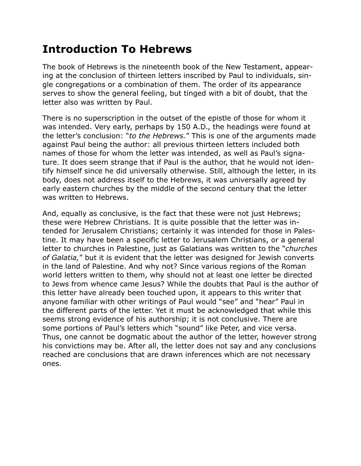## **Introduction To Hebrews**

The book of Hebrews is the nineteenth book of the New Testament, appearing at the conclusion of thirteen letters inscribed by Paul to individuals, single congregations or a combination of them. The order of its appearance serves to show the general feeling, but tinged with a bit of doubt, that the letter also was written by Paul.

There is no superscription in the outset of the epistle of those for whom it was intended. Very early, perhaps by 150 A.D., the headings were found at the letter's conclusion: "*to the Hebrews.*" This is one of the arguments made against Paul being the author: all previous thirteen letters included both names of those for whom the letter was intended, as well as Paul's signature. It does seem strange that if Paul is the author, that he would not identify himself since he did universally otherwise. Still, although the letter, in its body, does not address itself to the Hebrews, it was universally agreed by early eastern churches by the middle of the second century that the letter was written to Hebrews.

And, equally as conclusive, is the fact that these were not just Hebrews; these were Hebrew Christians. It is quite possible that the letter was intended for Jerusalem Christians; certainly it was intended for those in Palestine. It may have been a specific letter to Jerusalem Christians, or a general letter to churches in Palestine, just as Galatians was written to the "*churches of Galatia,*" but it is evident that the letter was designed for Jewish converts in the land of Palestine. And why not? Since various regions of the Roman world letters written to them, why should not at least one letter be directed to Jews from whence came Jesus? While the doubts that Paul is the author of this letter have already been touched upon, it appears to this writer that anyone familiar with other writings of Paul would "see" and "hear" Paul in the different parts of the letter. Yet it must be acknowledged that while this seems strong evidence of his authorship; it is not conclusive. There are some portions of Paul's letters which "sound" like Peter, and vice versa. Thus, one cannot be dogmatic about the author of the letter, however strong his convictions may be. After all, the letter does not say and any conclusions reached are conclusions that are drawn inferences which are not necessary ones.